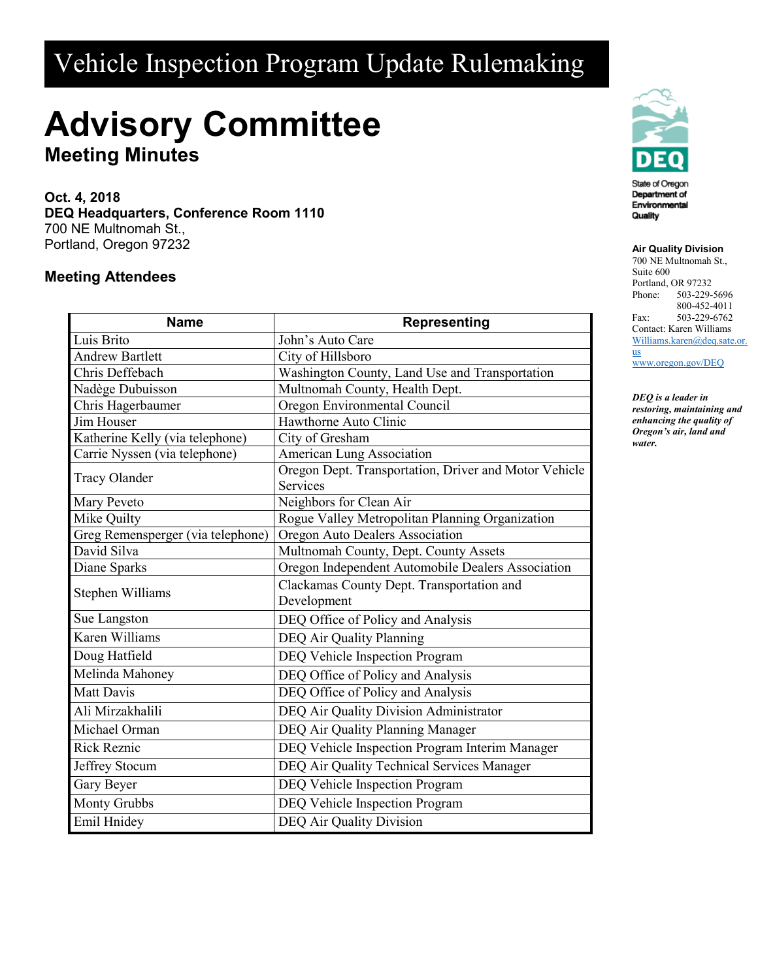## Vehicle Inspection Program Update Rulemaking

# **Advisory Committee**

**Meeting Minutes**

**Oct. 4, 2018 DEQ Headquarters, Conference Room 1110** 700 NE Multnomah St., Portland, Oregon 97232

### **Meeting Attendees**

| <b>Name</b>                       | <b>Representing</b>                                   |
|-----------------------------------|-------------------------------------------------------|
| Luis Brito                        | John's Auto Care                                      |
| <b>Andrew Bartlett</b>            | City of Hillsboro                                     |
| Chris Deffebach                   | Washington County, Land Use and Transportation        |
| Nadège Dubuisson                  | Multnomah County, Health Dept.                        |
| Chris Hagerbaumer                 | Oregon Environmental Council                          |
| Jim Houser                        | Hawthorne Auto Clinic                                 |
| Katherine Kelly (via telephone)   | City of Gresham                                       |
| Carrie Nyssen (via telephone)     | <b>American Lung Association</b>                      |
| <b>Tracy Olander</b>              | Oregon Dept. Transportation, Driver and Motor Vehicle |
|                                   | Services                                              |
| Mary Peveto                       | Neighbors for Clean Air                               |
| <b>Mike Quilty</b>                | Rogue Valley Metropolitan Planning Organization       |
| Greg Remensperger (via telephone) | Oregon Auto Dealers Association                       |
| David Silva                       | Multnomah County, Dept. County Assets                 |
| Diane Sparks                      | Oregon Independent Automobile Dealers Association     |
| Stephen Williams                  | Clackamas County Dept. Transportation and             |
|                                   | Development                                           |
| Sue Langston                      | DEQ Office of Policy and Analysis                     |
| Karen Williams                    | DEQ Air Quality Planning                              |
| Doug Hatfield                     | DEQ Vehicle Inspection Program                        |
| Melinda Mahoney                   | DEQ Office of Policy and Analysis                     |
| <b>Matt Davis</b>                 | DEQ Office of Policy and Analysis                     |
| Ali Mirzakhalili                  | DEQ Air Quality Division Administrator                |
| Michael Orman                     | DEQ Air Quality Planning Manager                      |
| <b>Rick Reznic</b>                | DEQ Vehicle Inspection Program Interim Manager        |
| Jeffrey Stocum                    | DEQ Air Quality Technical Services Manager            |
| Gary Beyer                        | DEQ Vehicle Inspection Program                        |
| <b>Monty Grubbs</b>               | DEQ Vehicle Inspection Program                        |
| Emil Hnidey                       | <b>DEQ Air Quality Division</b>                       |



#### **Air Quality Division**

700 NE Multnomah St., Suite 600 Portland, OR 97232 Phone: 503-229-5696 800-452-4011 Fax: 503-229-6762 Contact: Karen Williams [Williams.karen@deq.sate.or.](mailto:Williams.karen@deq.sate.or.us) [us](mailto:Williams.karen@deq.sate.or.us)

[www.oregon.gov/DEQ](file://deq001/templates/General/www.oregon.gov/DEQ)

*DEQ is a leader in restoring, maintaining and enhancing the quality of Oregon's air, land and water.*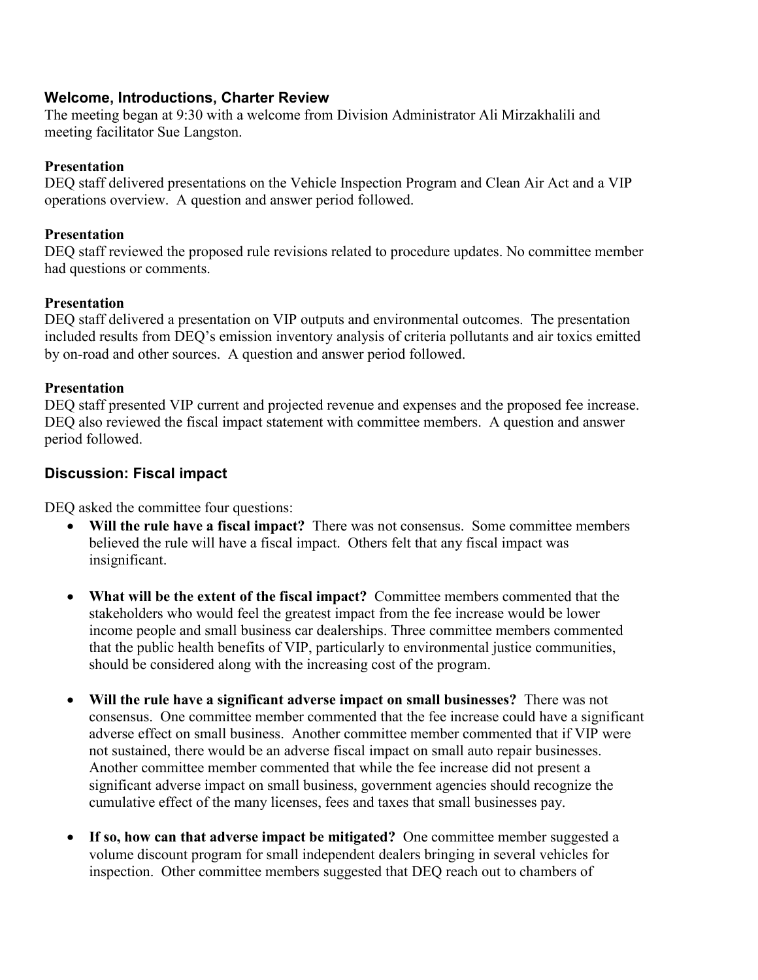#### **Welcome, Introductions, Charter Review**

The meeting began at 9:30 with a welcome from Division Administrator Ali Mirzakhalili and meeting facilitator Sue Langston.

#### **Presentation**

DEQ staff delivered presentations on the Vehicle Inspection Program and Clean Air Act and a VIP operations overview. A question and answer period followed.

#### **Presentation**

DEQ staff reviewed the proposed rule revisions related to procedure updates. No committee member had questions or comments.

#### **Presentation**

DEQ staff delivered a presentation on VIP outputs and environmental outcomes. The presentation included results from DEQ's emission inventory analysis of criteria pollutants and air toxics emitted by on-road and other sources. A question and answer period followed.

#### **Presentation**

DEQ staff presented VIP current and projected revenue and expenses and the proposed fee increase. DEQ also reviewed the fiscal impact statement with committee members. A question and answer period followed.

#### **Discussion: Fiscal impact**

DEQ asked the committee four questions:

- **Will the rule have a fiscal impact?** There was not consensus. Some committee members believed the rule will have a fiscal impact. Others felt that any fiscal impact was insignificant.
- **What will be the extent of the fiscal impact?** Committee members commented that the stakeholders who would feel the greatest impact from the fee increase would be lower income people and small business car dealerships. Three committee members commented that the public health benefits of VIP, particularly to environmental justice communities, should be considered along with the increasing cost of the program.
- **Will the rule have a significant adverse impact on small businesses?** There was not consensus. One committee member commented that the fee increase could have a significant adverse effect on small business. Another committee member commented that if VIP were not sustained, there would be an adverse fiscal impact on small auto repair businesses. Another committee member commented that while the fee increase did not present a significant adverse impact on small business, government agencies should recognize the cumulative effect of the many licenses, fees and taxes that small businesses pay.
- **If so, how can that adverse impact be mitigated?** One committee member suggested a volume discount program for small independent dealers bringing in several vehicles for inspection. Other committee members suggested that DEQ reach out to chambers of